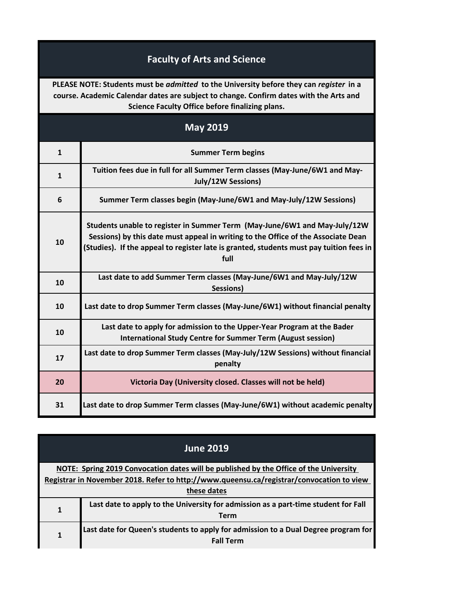## **Faculty of Arts and Science**

**PLEASE NOTE: Students must be** *admitted* **to the University before they can** *register* **in a course. Academic Calendar dates are subject to change. Confirm dates with the Arts and Science Faculty Office before finalizing plans.**

| <b>May 2019</b> |                                                                                                                                                                                                                                                                   |
|-----------------|-------------------------------------------------------------------------------------------------------------------------------------------------------------------------------------------------------------------------------------------------------------------|
| $\mathbf{1}$    | <b>Summer Term begins</b>                                                                                                                                                                                                                                         |
| $\mathbf{1}$    | Tuition fees due in full for all Summer Term classes (May-June/6W1 and May-<br>July/12W Sessions)                                                                                                                                                                 |
| 6               | Summer Term classes begin (May-June/6W1 and May-July/12W Sessions)                                                                                                                                                                                                |
| 10              | Students unable to register in Summer Term (May-June/6W1 and May-July/12W<br>Sessions) by this date must appeal in writing to the Office of the Associate Dean<br>(Studies). If the appeal to register late is granted, students must pay tuition fees in<br>full |
| 10              | Last date to add Summer Term classes (May-June/6W1 and May-July/12W<br>Sessions)                                                                                                                                                                                  |
| 10              | Last date to drop Summer Term classes (May-June/6W1) without financial penalty                                                                                                                                                                                    |
| 10              | Last date to apply for admission to the Upper-Year Program at the Bader<br><b>International Study Centre for Summer Term (August session)</b>                                                                                                                     |
| 17              | Last date to drop Summer Term classes (May-July/12W Sessions) without financial<br>penalty                                                                                                                                                                        |
| 20              | Victoria Day (University closed. Classes will not be held)                                                                                                                                                                                                        |
| 31              | Last date to drop Summer Term classes (May-June/6W1) without academic penalty                                                                                                                                                                                     |

| <b>June 2019</b>                                                                         |                                                                                    |  |
|------------------------------------------------------------------------------------------|------------------------------------------------------------------------------------|--|
| NOTE: Spring 2019 Convocation dates will be published by the Office of the University    |                                                                                    |  |
| Registrar in November 2018. Refer to http://www.queensu.ca/registrar/convocation to view |                                                                                    |  |
| these dates                                                                              |                                                                                    |  |
| 1                                                                                        | Last date to apply to the University for admission as a part-time student for Fall |  |
|                                                                                          | Term                                                                               |  |
|                                                                                          | Last date for Queen's students to apply for admission to a Dual Degree program for |  |
|                                                                                          | <b>Fall Term</b>                                                                   |  |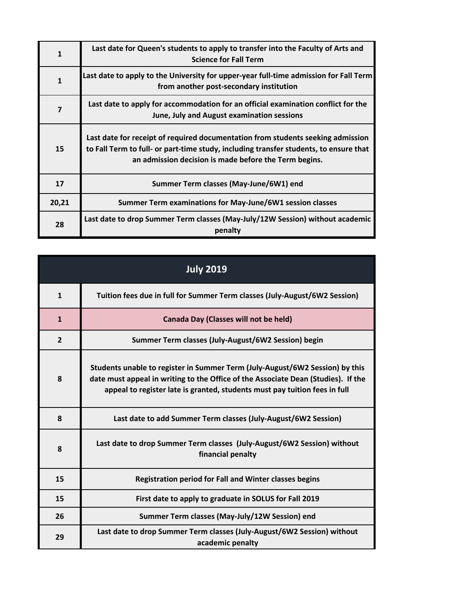| 1            | Last date for Queen's students to apply to transfer into the Faculty of Arts and<br><b>Science for Fall Term</b>                                                                                                                  |
|--------------|-----------------------------------------------------------------------------------------------------------------------------------------------------------------------------------------------------------------------------------|
| $\mathbf{1}$ | Last date to apply to the University for upper-year full-time admission for Fall Term<br>from another post-secondary institution                                                                                                  |
| 7            | Last date to apply for accommodation for an official examination conflict for the<br>June, July and August examination sessions                                                                                                   |
| 15           | Last date for receipt of required documentation from students seeking admission<br>to Fall Term to full- or part-time study, including transfer students, to ensure that<br>an admission decision is made before the Term begins. |
| 17           | Summer Term classes (May-June/6W1) end                                                                                                                                                                                            |
| 20,21        | Summer Term examinations for May-June/6W1 session classes                                                                                                                                                                         |
| 28           | Last date to drop Summer Term classes (May-July/12W Session) without academic<br>penalty                                                                                                                                          |

| <b>July 2019</b> |                                                                                                                                                                                                                                                 |
|------------------|-------------------------------------------------------------------------------------------------------------------------------------------------------------------------------------------------------------------------------------------------|
| $\mathbf{1}$     | Tuition fees due in full for Summer Term classes (July-August/6W2 Session)                                                                                                                                                                      |
| $\mathbf{1}$     | <b>Canada Day (Classes will not be held)</b>                                                                                                                                                                                                    |
| $\overline{2}$   | Summer Term classes (July-August/6W2 Session) begin                                                                                                                                                                                             |
| 8                | Students unable to register in Summer Term (July-August/6W2 Session) by this<br>date must appeal in writing to the Office of the Associate Dean (Studies). If the<br>appeal to register late is granted, students must pay tuition fees in full |
| 8                | Last date to add Summer Term classes (July-August/6W2 Session)                                                                                                                                                                                  |
| 8                | Last date to drop Summer Term classes (July-August/6W2 Session) without<br>financial penalty                                                                                                                                                    |
| 15               | <b>Registration period for Fall and Winter classes begins</b>                                                                                                                                                                                   |
| 15               | First date to apply to graduate in SOLUS for Fall 2019                                                                                                                                                                                          |
| 26               | Summer Term classes (May-July/12W Session) end                                                                                                                                                                                                  |
| 29               | Last date to drop Summer Term classes (July-August/6W2 Session) without<br>academic penalty                                                                                                                                                     |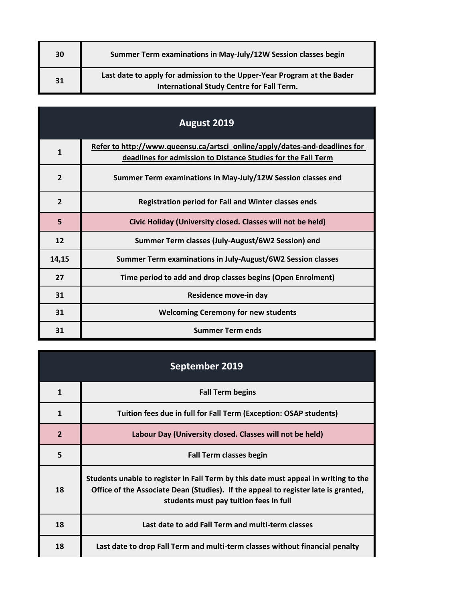| 30 | Summer Term examinations in May-July/12W Session classes begin                                                       |
|----|----------------------------------------------------------------------------------------------------------------------|
| 31 | Last date to apply for admission to the Upper-Year Program at the Bader<br>International Study Centre for Fall Term. |

| August 2019    |                                                                                                                                             |
|----------------|---------------------------------------------------------------------------------------------------------------------------------------------|
| $\mathbf{1}$   | Refer to http://www.queensu.ca/artsci_online/apply/dates-and-deadlines for<br>deadlines for admission to Distance Studies for the Fall Term |
| $\overline{2}$ | Summer Term examinations in May-July/12W Session classes end                                                                                |
| $\overline{2}$ | <b>Registration period for Fall and Winter classes ends</b>                                                                                 |
| 5              | Civic Holiday (University closed. Classes will not be held)                                                                                 |
| 12             | Summer Term classes (July-August/6W2 Session) end                                                                                           |
| 14,15          | Summer Term examinations in July-August/6W2 Session classes                                                                                 |
| 27             | Time period to add and drop classes begins (Open Enrolment)                                                                                 |
| 31             | Residence move-in day                                                                                                                       |
| 31             | <b>Welcoming Ceremony for new students</b>                                                                                                  |
| 31             | <b>Summer Term ends</b>                                                                                                                     |

| September 2019 |                                                                                                                                                                                                                     |
|----------------|---------------------------------------------------------------------------------------------------------------------------------------------------------------------------------------------------------------------|
| 1              | <b>Fall Term begins</b>                                                                                                                                                                                             |
| $\mathbf{1}$   | Tuition fees due in full for Fall Term (Exception: OSAP students)                                                                                                                                                   |
| $\overline{2}$ | Labour Day (University closed. Classes will not be held)                                                                                                                                                            |
| 5              | <b>Fall Term classes begin</b>                                                                                                                                                                                      |
| 18             | Students unable to register in Fall Term by this date must appeal in writing to the<br>Office of the Associate Dean (Studies). If the appeal to register late is granted,<br>students must pay tuition fees in full |
| 18             | Last date to add Fall Term and multi-term classes                                                                                                                                                                   |
| 18             | Last date to drop Fall Term and multi-term classes without financial penalty                                                                                                                                        |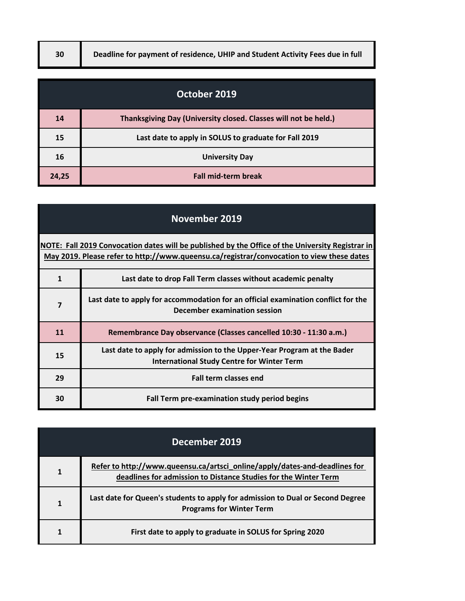| October 2019 |                                                                 |
|--------------|-----------------------------------------------------------------|
| 14           | Thanksgiving Day (University closed. Classes will not be held.) |
| 15           | Last date to apply in SOLUS to graduate for Fall 2019           |
| 16           | <b>University Day</b>                                           |
| 24,25        | <b>Fall mid-term break</b>                                      |

| <b>November 2019</b>                                                                                                                                                                          |                                                                                                                              |
|-----------------------------------------------------------------------------------------------------------------------------------------------------------------------------------------------|------------------------------------------------------------------------------------------------------------------------------|
| NOTE: Fall 2019 Convocation dates will be published by the Office of the University Registrar in<br>May 2019. Please refer to http://www.queensu.ca/registrar/convocation to view these dates |                                                                                                                              |
| $\mathbf{1}$                                                                                                                                                                                  | Last date to drop Fall Term classes without academic penalty                                                                 |
| 7                                                                                                                                                                                             | Last date to apply for accommodation for an official examination conflict for the<br>December examination session            |
| 11                                                                                                                                                                                            | Remembrance Day observance (Classes cancelled 10:30 - 11:30 a.m.)                                                            |
| 15                                                                                                                                                                                            | Last date to apply for admission to the Upper-Year Program at the Bader<br><b>International Study Centre for Winter Term</b> |
| 29                                                                                                                                                                                            | <b>Fall term classes end</b>                                                                                                 |
| 30                                                                                                                                                                                            | Fall Term pre-examination study period begins                                                                                |

| December 2019 |                                                                                                                                               |
|---------------|-----------------------------------------------------------------------------------------------------------------------------------------------|
| 1             | Refer to http://www.queensu.ca/artsci_online/apply/dates-and-deadlines for<br>deadlines for admission to Distance Studies for the Winter Term |
|               | Last date for Queen's students to apply for admission to Dual or Second Degree<br><b>Programs for Winter Term</b>                             |
|               | First date to apply to graduate in SOLUS for Spring 2020                                                                                      |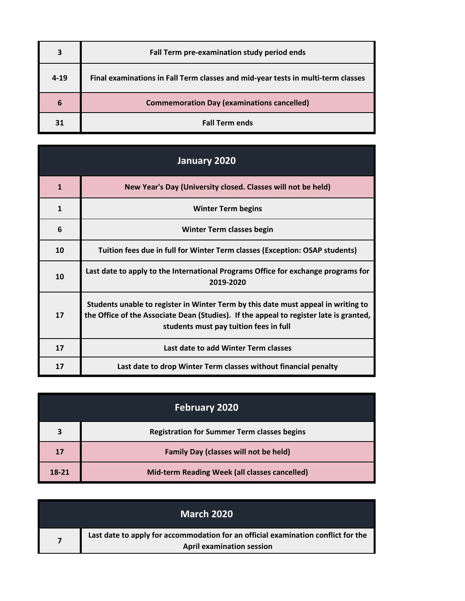| 3        | Fall Term pre-examination study period ends                                      |
|----------|----------------------------------------------------------------------------------|
| $4 - 19$ | Final examinations in Fall Term classes and mid-year tests in multi-term classes |
| 6        | <b>Commemoration Day (examinations cancelled)</b>                                |
| 31       | <b>Fall Term ends</b>                                                            |

| January 2020 |                                                                                                                                                                                                                       |
|--------------|-----------------------------------------------------------------------------------------------------------------------------------------------------------------------------------------------------------------------|
| $\mathbf{1}$ | New Year's Day (University closed. Classes will not be held)                                                                                                                                                          |
| $\mathbf{1}$ | <b>Winter Term begins</b>                                                                                                                                                                                             |
| 6            | <b>Winter Term classes begin</b>                                                                                                                                                                                      |
| 10           | Tuition fees due in full for Winter Term classes (Exception: OSAP students)                                                                                                                                           |
| 10           | Last date to apply to the International Programs Office for exchange programs for<br>2019-2020                                                                                                                        |
| 17           | Students unable to register in Winter Term by this date must appeal in writing to<br>the Office of the Associate Dean (Studies). If the appeal to register late is granted,<br>students must pay tuition fees in full |
| 17           | Last date to add Winter Term classes                                                                                                                                                                                  |
| 17           | Last date to drop Winter Term classes without financial penalty                                                                                                                                                       |

| <b>February 2020</b> |                                                    |
|----------------------|----------------------------------------------------|
| 3                    | <b>Registration for Summer Term classes begins</b> |
| 17                   | <b>Family Day (classes will not be held)</b>       |
| 18-21                | Mid-term Reading Week (all classes cancelled)      |

| <b>March 2020</b>                                                                                                     |
|-----------------------------------------------------------------------------------------------------------------------|
| Last date to apply for accommodation for an official examination conflict for the<br><b>April examination session</b> |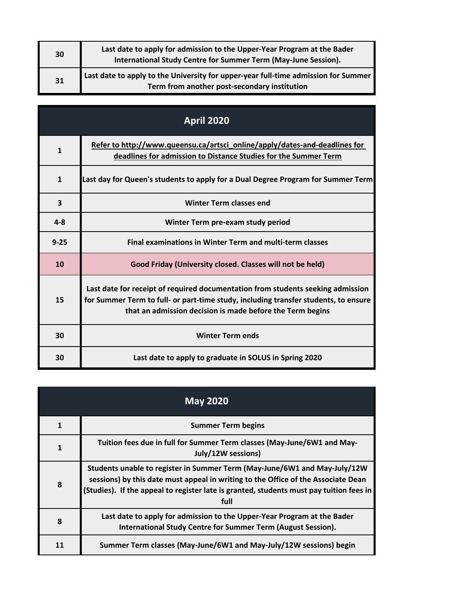| 30 | Last date to apply for admission to the Upper-Year Program at the Bader<br>International Study Centre for Summer Term (May-June Session). |
|----|-------------------------------------------------------------------------------------------------------------------------------------------|
| 31 | Last date to apply to the University for upper-year full-time admission for Summer<br>Term from another post-secondary institution        |

| <b>April 2020</b> |                                                                                                                                                                                                                                     |
|-------------------|-------------------------------------------------------------------------------------------------------------------------------------------------------------------------------------------------------------------------------------|
| $\mathbf{1}$      | Refer to http://www.queensu.ca/artsci_online/apply/dates-and-deadlines for<br>deadlines for admission to Distance Studies for the Summer Term                                                                                       |
| $\mathbf{1}$      | Last day for Queen's students to apply for a Dual Degree Program for Summer Term                                                                                                                                                    |
| 3                 | <b>Winter Term classes end</b>                                                                                                                                                                                                      |
| $4 - 8$           | Winter Term pre-exam study period                                                                                                                                                                                                   |
| $9 - 25$          | <b>Final examinations in Winter Term and multi-term classes</b>                                                                                                                                                                     |
| 10                | Good Friday (University closed. Classes will not be held)                                                                                                                                                                           |
| 15                | Last date for receipt of required documentation from students seeking admission<br>for Summer Term to full- or part-time study, including transfer students, to ensure<br>that an admission decision is made before the Term begins |
| 30                | <b>Winter Term ends</b>                                                                                                                                                                                                             |
| 30                | Last date to apply to graduate in SOLUS in Spring 2020                                                                                                                                                                              |

| <b>May 2020</b> |                                                                                                                                                                                                                                                                   |
|-----------------|-------------------------------------------------------------------------------------------------------------------------------------------------------------------------------------------------------------------------------------------------------------------|
| $\mathbf{1}$    | <b>Summer Term begins</b>                                                                                                                                                                                                                                         |
| $\mathbf{1}$    | Tuition fees due in full for Summer Term classes (May-June/6W1 and May-<br>July/12W sessions)                                                                                                                                                                     |
| 8               | Students unable to register in Summer Term (May-June/6W1 and May-July/12W<br>sessions) by this date must appeal in writing to the Office of the Associate Dean<br>(Studies). If the appeal to register late is granted, students must pay tuition fees in<br>full |
| 8               | Last date to apply for admission to the Upper-Year Program at the Bader<br>International Study Centre for Summer Term (August Session).                                                                                                                           |
| 11              | Summer Term classes (May-June/6W1 and May-July/12W sessions) begin                                                                                                                                                                                                |

 $\mathbb{R}^2$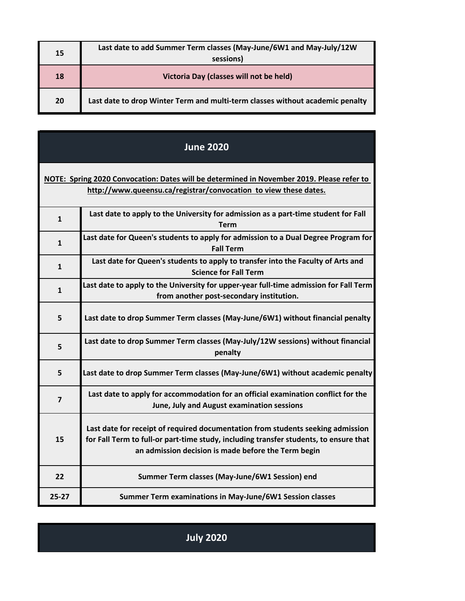| 15 | Last date to add Summer Term classes (May-June/6W1 and May-July/12W<br>sessions) |
|----|----------------------------------------------------------------------------------|
| 18 | Victoria Day (classes will not be held)                                          |
| 20 | Last date to drop Winter Term and multi-term classes without academic penalty    |

| <b>June 2020</b>                                                                                                                                              |                                                                                                                                                                                                                                 |
|---------------------------------------------------------------------------------------------------------------------------------------------------------------|---------------------------------------------------------------------------------------------------------------------------------------------------------------------------------------------------------------------------------|
| NOTE: Spring 2020 Convocation: Dates will be determined in November 2019. Please refer to<br>http://www.queensu.ca/registrar/convocation to view these dates. |                                                                                                                                                                                                                                 |
| $\mathbf{1}$                                                                                                                                                  | Last date to apply to the University for admission as a part-time student for Fall<br>Term                                                                                                                                      |
| $\mathbf{1}$                                                                                                                                                  | Last date for Queen's students to apply for admission to a Dual Degree Program for<br><b>Fall Term</b>                                                                                                                          |
| $\mathbf{1}$                                                                                                                                                  | Last date for Queen's students to apply to transfer into the Faculty of Arts and<br><b>Science for Fall Term</b>                                                                                                                |
| $\mathbf{1}$                                                                                                                                                  | Last date to apply to the University for upper-year full-time admission for Fall Term<br>from another post-secondary institution.                                                                                               |
| 5                                                                                                                                                             | Last date to drop Summer Term classes (May-June/6W1) without financial penalty                                                                                                                                                  |
| 5                                                                                                                                                             | Last date to drop Summer Term classes (May-July/12W sessions) without financial<br>penalty                                                                                                                                      |
| 5                                                                                                                                                             | Last date to drop Summer Term classes (May-June/6W1) without academic penalty                                                                                                                                                   |
| $\overline{7}$                                                                                                                                                | Last date to apply for accommodation for an official examination conflict for the<br>June, July and August examination sessions                                                                                                 |
| 15                                                                                                                                                            | Last date for receipt of required documentation from students seeking admission<br>for Fall Term to full-or part-time study, including transfer students, to ensure that<br>an admission decision is made before the Term begin |
| 22                                                                                                                                                            | Summer Term classes (May-June/6W1 Session) end                                                                                                                                                                                  |
| $25 - 27$                                                                                                                                                     | Summer Term examinations in May-June/6W1 Session classes                                                                                                                                                                        |

**July 2020**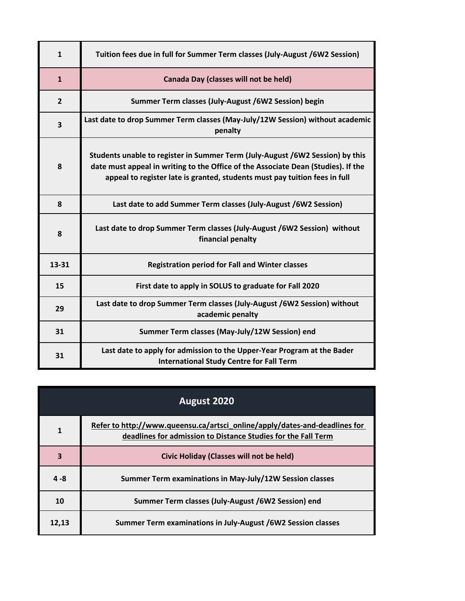| $\mathbf{1}$   | Tuition fees due in full for Summer Term classes (July-August /6W2 Session)                                                                                                                                                                      |
|----------------|--------------------------------------------------------------------------------------------------------------------------------------------------------------------------------------------------------------------------------------------------|
| $\mathbf{1}$   | Canada Day (classes will not be held)                                                                                                                                                                                                            |
| $\overline{2}$ | Summer Term classes (July-August /6W2 Session) begin                                                                                                                                                                                             |
| 3              | Last date to drop Summer Term classes (May-July/12W Session) without academic<br>penalty                                                                                                                                                         |
| 8              | Students unable to register in Summer Term (July-August /6W2 Session) by this<br>date must appeal in writing to the Office of the Associate Dean (Studies). If the<br>appeal to register late is granted, students must pay tuition fees in full |
| 8              | Last date to add Summer Term classes (July-August /6W2 Session)                                                                                                                                                                                  |
| 8              | Last date to drop Summer Term classes (July-August /6W2 Session) without<br>financial penalty                                                                                                                                                    |
| 13-31          | <b>Registration period for Fall and Winter classes</b>                                                                                                                                                                                           |
| 15             | First date to apply in SOLUS to graduate for Fall 2020                                                                                                                                                                                           |
| 29             | Last date to drop Summer Term classes (July-August /6W2 Session) without<br>academic penalty                                                                                                                                                     |
| 31             | Summer Term classes (May-July/12W Session) end                                                                                                                                                                                                   |
| 31             | Last date to apply for admission to the Upper-Year Program at the Bader<br><b>International Study Centre for Fall Term</b>                                                                                                                       |

| August 2020             |                                                                                                                                             |
|-------------------------|---------------------------------------------------------------------------------------------------------------------------------------------|
| 1                       | Refer to http://www.queensu.ca/artsci_online/apply/dates-and-deadlines for<br>deadlines for admission to Distance Studies for the Fall Term |
| $\overline{\mathbf{3}}$ | Civic Holiday (Classes will not be held)                                                                                                    |
| $4 - 8$                 | Summer Term examinations in May-July/12W Session classes                                                                                    |
| 10                      | Summer Term classes (July-August /6W2 Session) end                                                                                          |
| 12.13                   | Summer Term examinations in July-August /6W2 Session classes                                                                                |